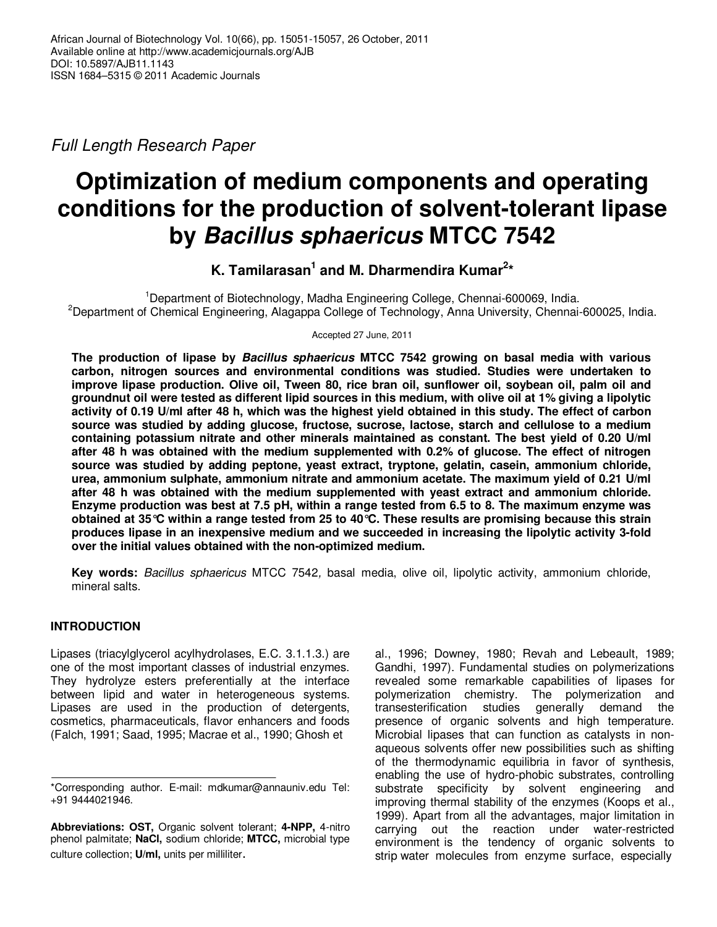Full Length Research Paper

# **Optimization of medium components and operating conditions for the production of solvent-tolerant lipase by Bacillus sphaericus MTCC 7542**

## **K. Tamilarasan<sup>1</sup> and M. Dharmendira Kumar<sup>2</sup> \***

<sup>1</sup>Department of Biotechnology, Madha Engineering College, Chennai-600069, India. <sup>2</sup>Department of Chemical Engineering, Alagappa College of Technology, Anna University, Chennai-600025, India.

Accepted 27 June, 2011

**The production of lipase by Bacillus sphaericus MTCC 7542 growing on basal media with various carbon, nitrogen sources and environmental conditions was studied. Studies were undertaken to improve lipase production. Olive oil, Tween 80, rice bran oil, sunflower oil, soybean oil, palm oil and groundnut oil were tested as different lipid sources in this medium, with olive oil at 1% giving a lipolytic activity of 0.19 U/ml after 48 h, which was the highest yield obtained in this study. The effect of carbon source was studied by adding glucose, fructose, sucrose, lactose, starch and cellulose to a medium containing potassium nitrate and other minerals maintained as constant. The best yield of 0.20 U/ml after 48 h was obtained with the medium supplemented with 0.2% of glucose. The effect of nitrogen source was studied by adding peptone, yeast extract, tryptone, gelatin, casein, ammonium chloride, urea, ammonium sulphate, ammonium nitrate and ammonium acetate. The maximum yield of 0.21 U/ml after 48 h was obtained with the medium supplemented with yeast extract and ammonium chloride. Enzyme production was best at 7.5 pH, within a range tested from 6.5 to 8. The maximum enzyme was obtained at 35°C within a range tested from 25 to 40°C. These results are promising because this strain produces lipase in an inexpensive medium and we succeeded in increasing the lipolytic activity 3-fold over the initial values obtained with the non-optimized medium.** 

**Key words:** Bacillus sphaericus MTCC 7542, basal media, olive oil, lipolytic activity, ammonium chloride, mineral salts.

### **INTRODUCTION**

Lipases (triacylglycerol acylhydrolases, E.C. 3.1.1.3.) are one of the most important classes of industrial enzymes. They hydrolyze esters preferentially at the interface between lipid and water in heterogeneous systems. Lipases are used in the production of detergents, cosmetics, pharmaceuticals, flavor enhancers and foods (Falch, 1991; Saad, 1995; Macrae et al., 1990; Ghosh et

al., 1996; Downey, 1980; Revah and Lebeault, 1989; Gandhi, 1997). Fundamental studies on polymerizations revealed some remarkable capabilities of lipases for polymerization chemistry. The polymerization and transesterification studies generally demand the presence of organic solvents and high temperature. Microbial lipases that can function as catalysts in nonaqueous solvents offer new possibilities such as shifting of the thermodynamic equilibria in favor of synthesis, enabling the use of hydro-phobic substrates, controlling substrate specificity by solvent engineering and improving thermal stability of the enzymes (Koops et al., 1999). Apart from all the advantages, major limitation in carrying out the reaction under water-restricted environment is the tendency of organic solvents to strip water molecules from enzyme surface, especially

<sup>\*</sup>Corresponding author. E-mail: mdkumar@annauniv.edu Tel: +91 9444021946.

**Abbreviations: OST,** Organic solvent tolerant; **4-NPP,** 4-nitro phenol palmitate; **NaCl,** sodium chloride; **MTCC,** microbial type culture collection; **U/ml,** units per milliliter.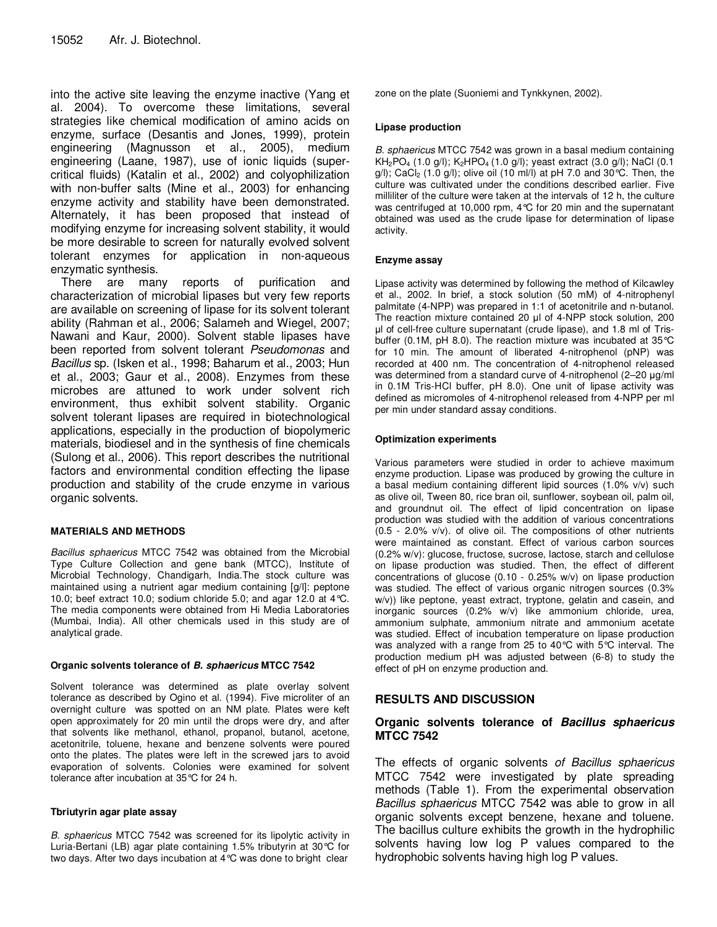into the active site leaving the enzyme inactive (Yang et al. 2004). To overcome these limitations, several strategies like chemical modification of amino acids on enzyme, surface (Desantis and Jones, 1999), protein engineering (Magnusson et al., 2005), medium engineering (Laane, 1987), use of ionic liquids (supercritical fluids) (Katalin et al., 2002) and colyophilization with non-buffer salts (Mine et al., 2003) for enhancing enzyme activity and stability have been demonstrated. Alternately, it has been proposed that instead of modifying enzyme for increasing solvent stability, it would be more desirable to screen for naturally evolved solvent tolerant enzymes for application in non-aqueous enzymatic synthesis.

There are many reports of purification and characterization of microbial lipases but very few reports are available on screening of lipase for its solvent tolerant ability (Rahman et al., 2006; Salameh and Wiegel, 2007; Nawani and Kaur, 2000). Solvent stable lipases have been reported from solvent tolerant Pseudomonas and Bacillus sp. (Isken et al., 1998; Baharum et al., 2003; Hun et al., 2003; Gaur et al., 2008). Enzymes from these microbes are attuned to work under solvent rich environment, thus exhibit solvent stability. Organic solvent tolerant lipases are required in biotechnological applications, especially in the production of biopolymeric materials, biodiesel and in the synthesis of fine chemicals (Sulong et al., 2006). This report describes the nutritional factors and environmental condition effecting the lipase production and stability of the crude enzyme in various organic solvents.

#### **MATERIALS AND METHODS**

Bacillus sphaericus MTCC 7542 was obtained from the Microbial Type Culture Collection and gene bank (MTCC), Institute of Microbial Technology, Chandigarh, India.The stock culture was maintained using a nutrient agar medium containing [g/l]: peptone 10.0; beef extract 10.0; sodium chloride 5.0; and agar 12.0 at 4°C. The media components were obtained from Hi Media Laboratories (Mumbai, India). All other chemicals used in this study are of analytical grade.

#### **Organic solvents tolerance of B. sphaericus MTCC 7542**

Solvent tolerance was determined as plate overlay solvent tolerance as described by Ogino et al. (1994). Five microliter of an overnight culture was spotted on an NM plate. Plates were keft open approximately for 20 min until the drops were dry, and after that solvents like methanol, ethanol, propanol, butanol, acetone, acetonitrile, toluene, hexane and benzene solvents were poured onto the plates. The plates were left in the screwed jars to avoid evaporation of solvents. Colonies were examined for solvent tolerance after incubation at 35°C for 24 h.

#### **Tbriutyrin agar plate assay**

B. sphaericus MTCC 7542 was screened for its lipolytic activity in Luria-Bertani (LB) agar plate containing 1.5% tributyrin at 30°C for two days. After two days incubation at 4°C was done to bright clear

zone on the plate (Suoniemi and Tynkkynen, 2002).

#### **Lipase production**

B. sphaericus MTCC 7542 was grown in a basal medium containing  $KH_{2}PO_{4}$  (1.0 g/l);  $K_{2}HPO_{4}$  (1.0 g/l); yeast extract (3.0 g/l); NaCl (0.1  $g(1)$ ; CaCl<sub>2</sub> (1.0  $g(1)$ ; olive oil (10 ml/l) at pH 7.0 and 30 °C. Then, the culture was cultivated under the conditions described earlier. Five milliliter of the culture were taken at the intervals of 12 h, the culture was centrifuged at 10,000 rpm, 4°C for 20 min and the supernatant obtained was used as the crude lipase for determination of lipase activity.

#### **Enzyme assay**

Lipase activity was determined by following the method of Kilcawley et al., 2002. In brief, a stock solution (50 mM) of 4-nitrophenyl palmitate (4-NPP) was prepared in 1:1 of acetonitrile and n-butanol. The reaction mixture contained 20 µl of 4-NPP stock solution, 200 µl of cell-free culture supernatant (crude lipase), and 1.8 ml of Trisbuffer (0.1M, pH 8.0). The reaction mixture was incubated at 35°C for 10 min. The amount of liberated 4-nitrophenol (pNP) was recorded at 400 nm. The concentration of 4-nitrophenol released was determined from a standard curve of 4-nitrophenol (2–20 µg/ml) in 0.1M Tris-HCl buffer, pH 8.0). One unit of lipase activity was defined as micromoles of 4-nitrophenol released from 4-NPP per ml per min under standard assay conditions.

#### **Optimization experiments**

Various parameters were studied in order to achieve maximum enzyme production. Lipase was produced by growing the culture in a basal medium containing different lipid sources (1.0% v/v) such as olive oil, Tween 80, rice bran oil, sunflower, soybean oil, palm oil, and groundnut oil. The effect of lipid concentration on lipase production was studied with the addition of various concentrations (0.5 - 2.0% v/v). of olive oil. The compositions of other nutrients were maintained as constant. Effect of various carbon sources (0.2% w/v): glucose, fructose, sucrose, lactose, starch and cellulose on lipase production was studied. Then, the effect of different concentrations of glucose (0.10 - 0.25% w/v) on lipase production was studied. The effect of various organic nitrogen sources (0.3% w/v)) like peptone, yeast extract, tryptone, gelatin and casein, and inorganic sources (0.2% w/v) like ammonium chloride, urea, ammonium sulphate, ammonium nitrate and ammonium acetate was studied. Effect of incubation temperature on lipase production was analyzed with a range from 25 to 40°C with 5°C interval. The production medium pH was adjusted between (6-8) to study the effect of pH on enzyme production and.

#### **RESULTS AND DISCUSSION**

#### **Organic solvents tolerance of Bacillus sphaericus MTCC 7542**

The effects of organic solvents of Bacillus sphaericus MTCC 7542 were investigated by plate spreading methods (Table 1). From the experimental observation Bacillus sphaericus MTCC 7542 was able to grow in all organic solvents except benzene, hexane and toluene. The bacillus culture exhibits the growth in the hydrophilic solvents having low log P values compared to the hydrophobic solvents having high log P values.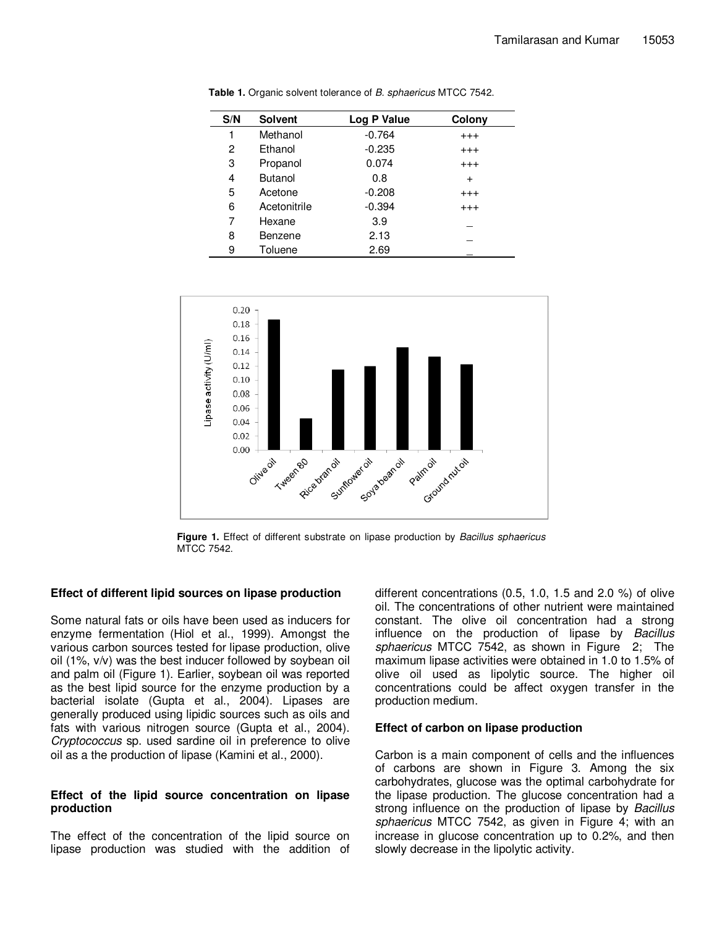| S/N | <b>Solvent</b> | Log P Value | Colony    |
|-----|----------------|-------------|-----------|
| 1   | Methanol       | $-0.764$    | $^{+++}$  |
| 2   | Ethanol        | $-0.235$    | $^{+++}$  |
| 3   | Propanol       | 0.074       | $^{+++}$  |
| 4   | <b>Butanol</b> | 0.8         | $\ddot{}$ |
| 5   | Acetone        | $-0.208$    | $^{+++}$  |
| 6   | Acetonitrile   | $-0.394$    | $^{+++}$  |
| 7   | Hexane         | 3.9         |           |
| 8   | Benzene        | 2.13        |           |
| 9   | Toluene        | 2.69        |           |

**Table 1.** Organic solvent tolerance of B. sphaericus MTCC 7542.



**Figure 1.** Effect of different substrate on lipase production by *Bacillus sphaericus* MTCC 7542.

#### **Effect of different lipid sources on lipase production**

Some natural fats or oils have been used as inducers for enzyme fermentation (Hiol et al., 1999). Amongst the various carbon sources tested for lipase production, olive oil (1%, v/v) was the best inducer followed by soybean oil and palm oil (Figure 1). Earlier, soybean oil was reported as the best lipid source for the enzyme production by a bacterial isolate (Gupta et al., 2004). Lipases are generally produced using lipidic sources such as oils and fats with various nitrogen source (Gupta et al., 2004). Cryptococcus sp. used sardine oil in preference to olive oil as a the production of lipase (Kamini et al., 2000).

#### **Effect of the lipid source concentration on lipase production**

The effect of the concentration of the lipid source on lipase production was studied with the addition of

different concentrations (0.5, 1.0, 1.5 and 2.0 %) of olive oil. The concentrations of other nutrient were maintained constant. The olive oil concentration had a strong influence on the production of lipase by Bacillus sphaericus MTCC 7542, as shown in Figure 2; The maximum lipase activities were obtained in 1.0 to 1.5% of olive oil used as lipolytic source. The higher oil concentrations could be affect oxygen transfer in the production medium.

#### **Effect of carbon on lipase production**

Carbon is a main component of cells and the influences of carbons are shown in Figure 3. Among the six carbohydrates, glucose was the optimal carbohydrate for the lipase production. The glucose concentration had a strong influence on the production of lipase by Bacillus sphaericus MTCC 7542, as given in Figure 4; with an increase in glucose concentration up to 0.2%, and then slowly decrease in the lipolytic activity.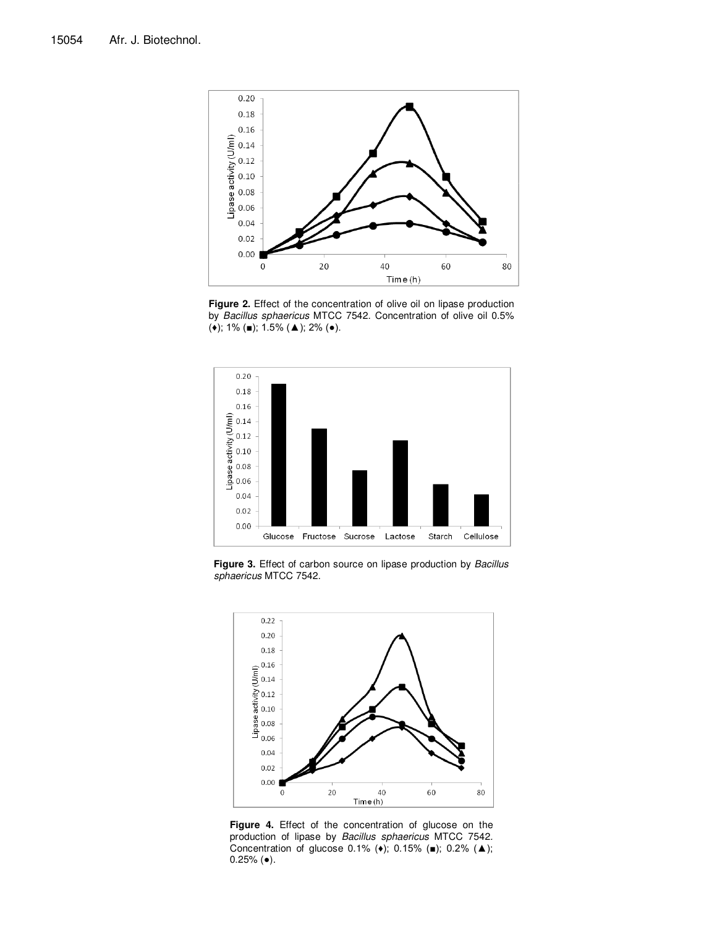

**Figure 2.** Effect of the concentration of olive oil on lipase production by Bacillus sphaericus MTCC 7542. Concentration of olive oil 0.5% (♦); 1% (■); 1.5% (▲); 2% (●).



Figure 3. Effect of carbon source on lipase production by Bacillus sphaericus MTCC 7542.



**Figure 4.** Effect of the concentration of glucose on the production of lipase by Bacillus sphaericus MTCC 7542. Concentration of glucose 0.1% (♦); 0.15% (■); 0.2% (▲);  $0.25%$  ( $\bullet$ ).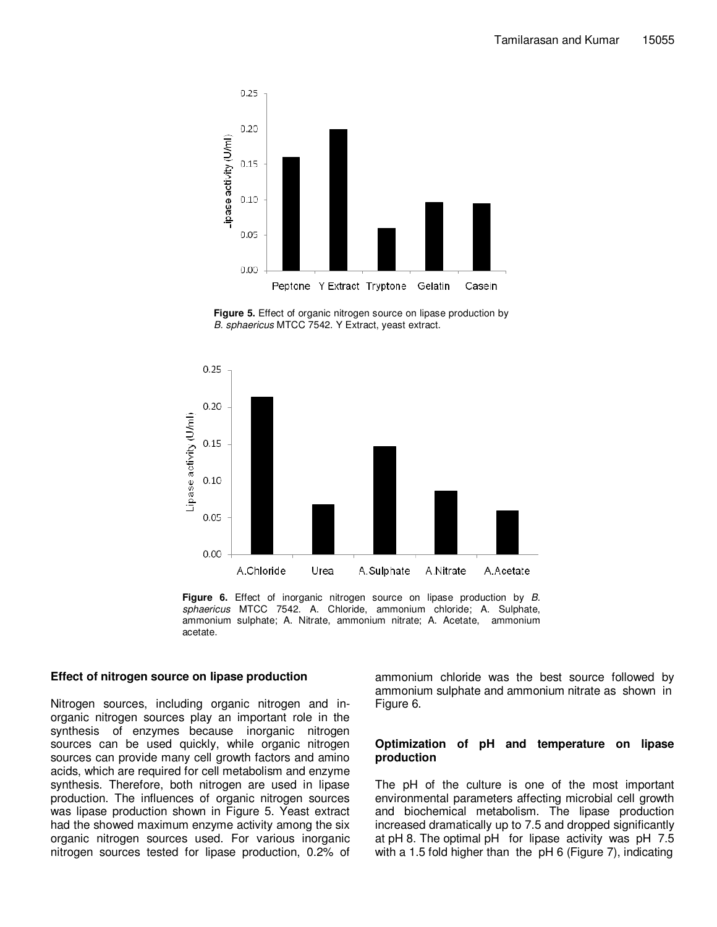

**Figure 5.** Effect of organic nitrogen source on lipase production by B. sphaericus MTCC 7542. Y Extract, yeast extract.



Figure 6. Effect of inorganic nitrogen source on lipase production by B. sphaericus MTCC 7542. A. Chloride, ammonium chloride; A. Sulphate, ammonium sulphate; A. Nitrate, ammonium nitrate; A. Acetate, ammonium acetate.

#### **Effect of nitrogen source on lipase production**

Nitrogen sources, including organic nitrogen and inorganic nitrogen sources play an important role in the synthesis of enzymes because inorganic nitrogen sources can be used quickly, while organic nitrogen sources can provide many cell growth factors and amino acids, which are required for cell metabolism and enzyme synthesis. Therefore, both nitrogen are used in lipase production. The influences of organic nitrogen sources was lipase production shown in Figure 5. Yeast extract had the showed maximum enzyme activity among the six organic nitrogen sources used. For various inorganic nitrogen sources tested for lipase production, 0.2% of ammonium chloride was the best source followed by ammonium sulphate and ammonium nitrate as shown in Figure 6.

#### **Optimization of pH and temperature on lipase production**

The pH of the culture is one of the most important environmental parameters affecting microbial cell growth and biochemical metabolism. The lipase production increased dramatically up to 7.5 and dropped significantly at pH 8. The optimal pH for lipase activity was pH 7.5 with a 1.5 fold higher than the pH 6 (Figure 7), indicating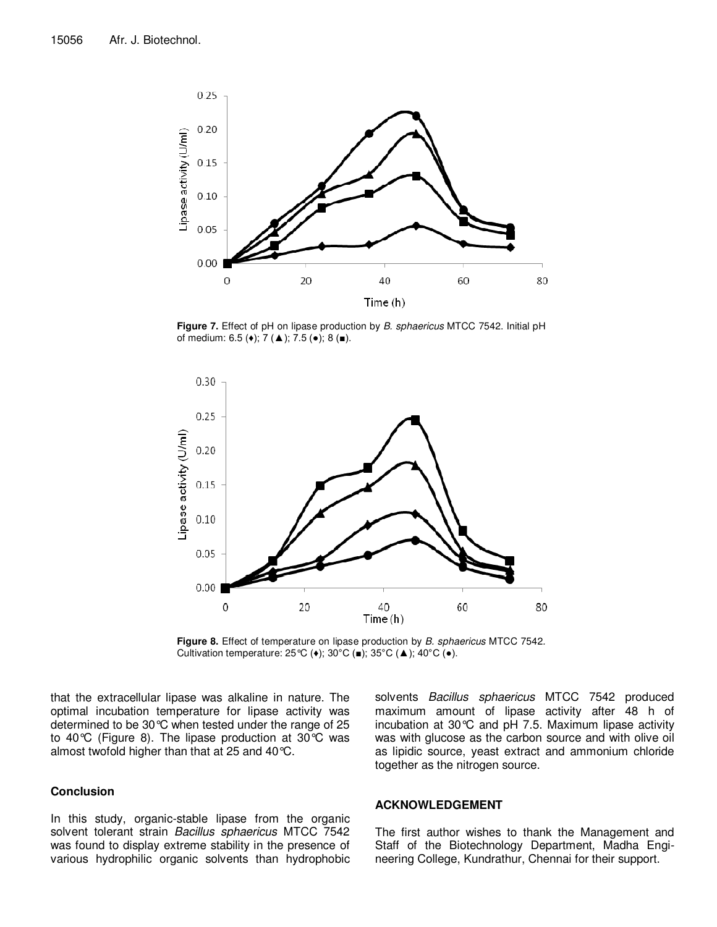

**Figure 7.** Effect of pH on lipase production by B. sphaericus MTCC 7542. Initial pH of medium:  $6.5$  ( $\bullet$ );  $7$  ( $\triangle$ );  $7.5$  ( $\bullet$ );  $8$  ( $\blacksquare$ ).



Figure 8. Effect of temperature on lipase production by B. sphaericus MTCC 7542. Cultivation temperature:  $25^{\circ}C$  ( $\bullet$ );  $30^{\circ}C$  ( $\bullet$ );  $35^{\circ}C$  ( $\blacktriangle$ );  $40^{\circ}C$  ( $\bullet$ ).

that the extracellular lipase was alkaline in nature. The optimal incubation temperature for lipase activity was determined to be 30°C when tested under the range of 25 to 40°C (Figure 8). The lipase production at 30°C was almost twofold higher than that at 25 and 40°C.

#### **Conclusion**

In this study, organic-stable lipase from the organic solvent tolerant strain Bacillus sphaericus MTCC 7542 was found to display extreme stability in the presence of various hydrophilic organic solvents than hydrophobic

solvents Bacillus sphaericus MTCC 7542 produced maximum amount of lipase activity after 48 h of incubation at 30°C and pH 7.5. Maximum lipase activity was with glucose as the carbon source and with olive oil as lipidic source, yeast extract and ammonium chloride together as the nitrogen source.

#### **ACKNOWLEDGEMENT**

The first author wishes to thank the Management and Staff of the Biotechnology Department, Madha Engineering College, Kundrathur, Chennai for their support.